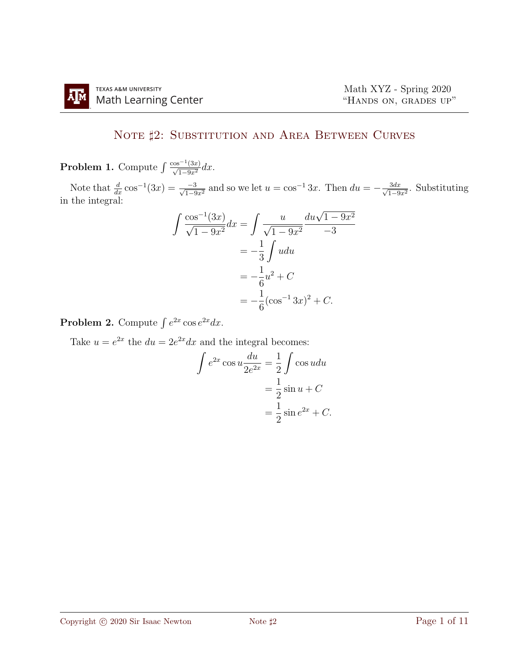## NOTE  $\sharp 2$ : SUBSTITUTION AND AREA BETWEEN CURVES

**Problem 1.** Compute  $\int \frac{\cos^{-1}(3x)}{\sqrt{1-9x^2}} dx$ .

Note that  $\frac{d}{dx} \cos^{-1}(3x) = \frac{-3}{\sqrt{1-9x^2}}$  and so we let  $u = \cos^{-1} 3x$ . Then  $du = -\frac{3dx}{\sqrt{1-9x^2}}$  $\frac{3dx}{1-9x^2}$ . Substituting in the integral:

$$
\int \frac{\cos^{-1}(3x)}{\sqrt{1-9x^2}} dx = \int \frac{u}{\sqrt{1-9x^2}} \frac{du\sqrt{1-9x^2}}{-3}
$$

$$
= -\frac{1}{3} \int u du
$$

$$
= -\frac{1}{6}u^2 + C
$$

$$
= -\frac{1}{6}(\cos^{-1}3x)^2 + C.
$$

**Problem 2.** Compute  $\int e^{2x} \cos e^{2x} dx$ .

Take  $u = e^{2x}$  the  $du = 2e^{2x} dx$  and the integral becomes:

$$
\int e^{2x} \cos u \frac{du}{2e^{2x}} = \frac{1}{2} \int \cos u du
$$

$$
= \frac{1}{2} \sin u + C
$$

$$
= \frac{1}{2} \sin e^{2x} + C.
$$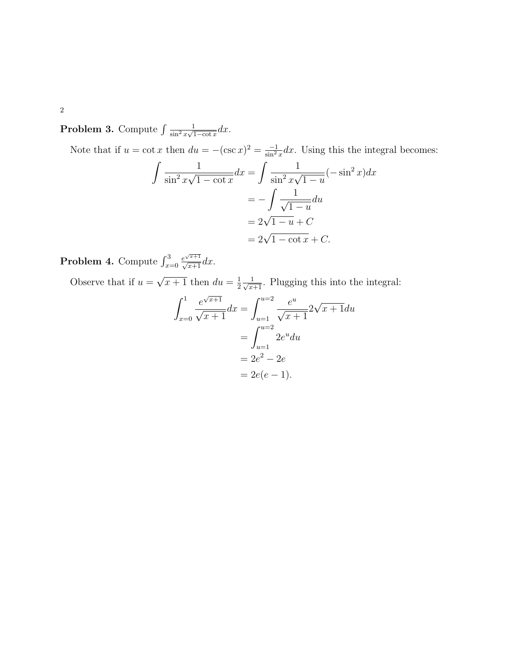2

**Problem 3.** Compute  $\int \frac{1}{\sin^2 x}$  $\frac{1}{\sin^2 x \sqrt{1-\cot x}} dx.$ 

Note that if  $u = \cot x$  then  $du = -(\csc x)^2 = \frac{-1}{\sin^2 x} dx$ . Using this the integral becomes:

$$
\int \frac{1}{\sin^2 x \sqrt{1 - \cot x}} dx = \int \frac{1}{\sin^2 x \sqrt{1 - u}} (-\sin^2 x) dx
$$

$$
= -\int \frac{1}{\sqrt{1 - u}} du
$$

$$
= 2\sqrt{1 - u} + C
$$

$$
= 2\sqrt{1 - \cot x} + C.
$$

**Problem 4.** Compute  $\int_{x=0}^{3}$  $\frac{e^{\sqrt{x+1}}}{\sqrt{x+1}}dx$ .

Observe that if  $u =$ √  $\overline{x+1}$  then  $du = \frac{1}{2}$  $\frac{1}{2} \frac{1}{\sqrt{x+1}}$ . Plugging this into the integral:

$$
\int_{x=0}^{1} \frac{e^{\sqrt{x+1}}}{\sqrt{x+1}} dx = \int_{u=1}^{u=2} \frac{e^u}{\sqrt{x+1}} 2\sqrt{x+1} du
$$

$$
= \int_{u=1}^{u=2} 2e^u du
$$

$$
= 2e^2 - 2e
$$

$$
= 2e(e - 1).
$$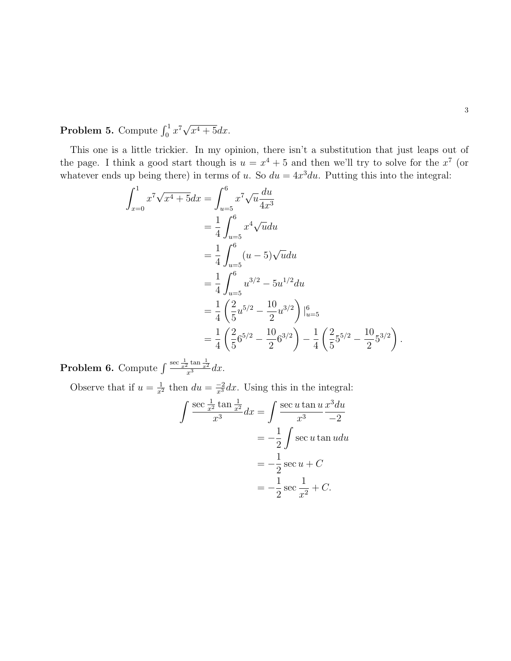**Problem 5.** Compute  $\int_0^1 x^7 \sqrt{2}$  $x^4+5dx$ .

This one is a little trickier. In my opinion, there isn't a substitution that just leaps out of the page. I think a good start though is  $u = x^4 + 5$  and then we'll try to solve for the  $x^7$  (or whatever ends up being there) in terms of u. So  $du = 4x^3 du$ . Putting this into the integral:

$$
\int_{x=0}^{1} x^7 \sqrt{x^4 + 5} dx = \int_{u=5}^{6} x^7 \sqrt{u} \frac{du}{4x^3}
$$
  
\n
$$
= \frac{1}{4} \int_{u=5}^{6} x^4 \sqrt{u} du
$$
  
\n
$$
= \frac{1}{4} \int_{u=5}^{6} (u-5) \sqrt{u} du
$$
  
\n
$$
= \frac{1}{4} \int_{u=5}^{6} u^{3/2} - 5u^{1/2} du
$$
  
\n
$$
= \frac{1}{4} \left( \frac{2}{5} u^{5/2} - \frac{10}{2} u^{3/2} \right) \Big|_{u=5}^{6}
$$
  
\n
$$
= \frac{1}{4} \left( \frac{2}{5} 6^{5/2} - \frac{10}{2} 6^{3/2} \right) - \frac{1}{4} \left( \frac{2}{5} 5^{5/2} - \frac{10}{2} 5^{3/2} \right).
$$

**Problem 6.** Compute  $\int \frac{\sec \frac{1}{x^2} \tan \frac{1}{x^2}}{x^3} dx$ .

Observe that if  $u = \frac{1}{x^2}$  then  $du = \frac{-2}{x^3} dx$ . Using this in the integral:

$$
\int \frac{\sec \frac{1}{x^2} \tan \frac{1}{x^2}}{x^3} dx = \int \frac{\sec u \tan u}{x^3} \frac{x^3 du}{-2}
$$

$$
= -\frac{1}{2} \int \sec u \tan u du
$$

$$
= -\frac{1}{2} \sec u + C
$$

$$
= -\frac{1}{2} \sec \frac{1}{x^2} + C.
$$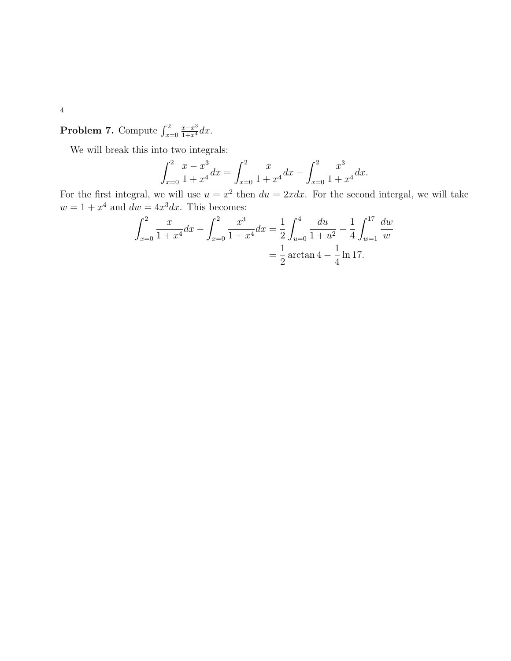**Problem 7.** Compute  $\int_{x=0}^{2}$  $rac{x-x^3}{1+x^4}dx$ .

We will break this into two integrals:

$$
\int_{x=0}^{2} \frac{x - x^3}{1 + x^4} dx = \int_{x=0}^{2} \frac{x}{1 + x^4} dx - \int_{x=0}^{2} \frac{x^3}{1 + x^4} dx.
$$

For the first integral, we will use  $u = x^2$  then  $du = 2x dx$ . For the second intergal, we will take  $w = 1 + x^4$  and  $dw = 4x^3 dx$ . This becomes:

$$
\int_{x=0}^{2} \frac{x}{1+x^4} dx - \int_{x=0}^{2} \frac{x^3}{1+x^4} dx = \frac{1}{2} \int_{u=0}^{4} \frac{du}{1+u^2} - \frac{1}{4} \int_{w=1}^{17} \frac{dw}{w}
$$

$$
= \frac{1}{2} \arctan 4 - \frac{1}{4} \ln 17.
$$

4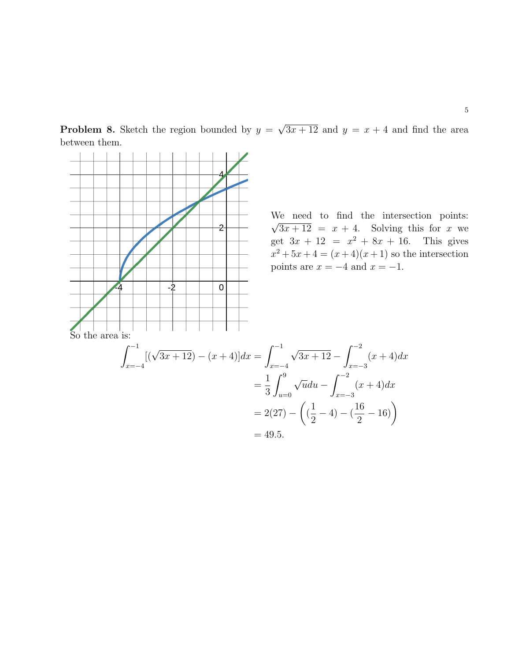**Problem 8.** Sketch the region bounded by  $y =$ √  $3x + 12$  and  $y = x + 4$  and find the area between them.

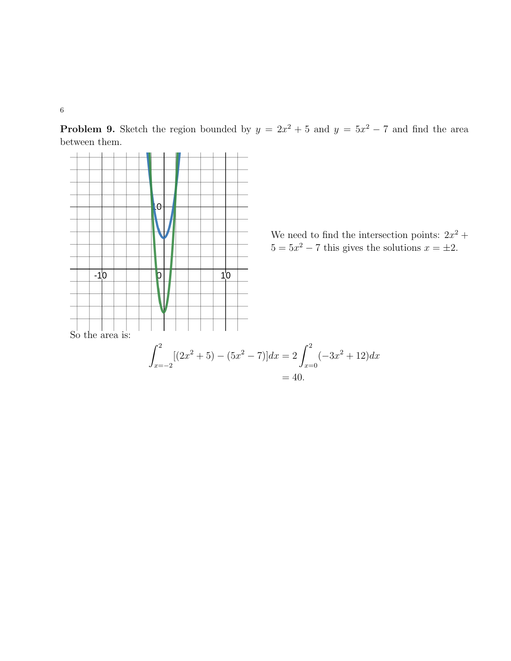**Problem 9.** Sketch the region bounded by  $y = 2x^2 + 5$  and  $y = 5x^2 - 7$  and find the area between them.

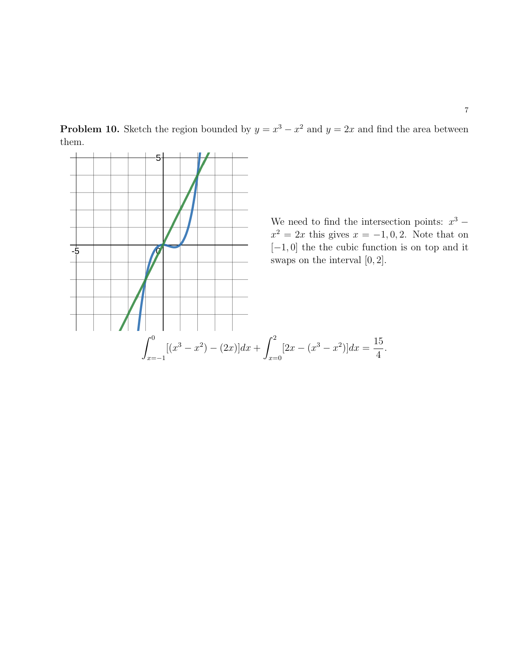



7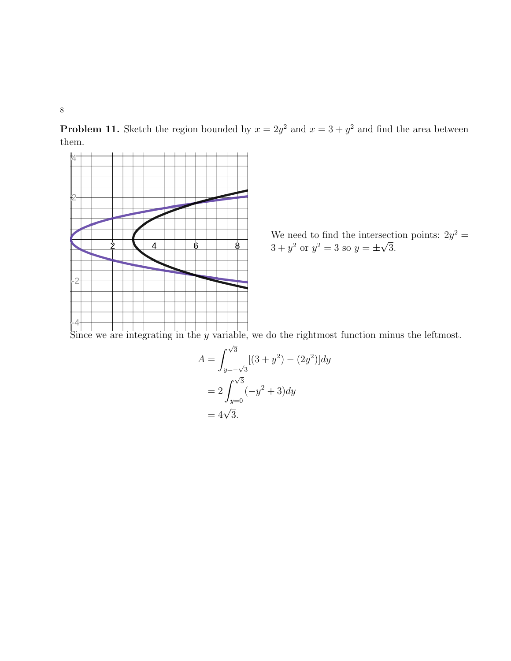8

**Problem 11.** Sketch the region bounded by  $x = 2y^2$  and  $x = 3 + y^2$  and find the area between them.



We need to find the intersection points:  $2y^2 =$  $3 + y^2$  or  $y^2 = 3$  so  $y = \pm$ √ 3.

Since we are integrating in the y variable, we do the rightmost function minus the leftmost.

$$
A = \int_{y=-\sqrt{3}}^{\sqrt{3}} [(3 + y^2) - (2y^2)] dy
$$
  
=  $2 \int_{y=0}^{\sqrt{3}} (-y^2 + 3) dy$   
=  $4\sqrt{3}$ .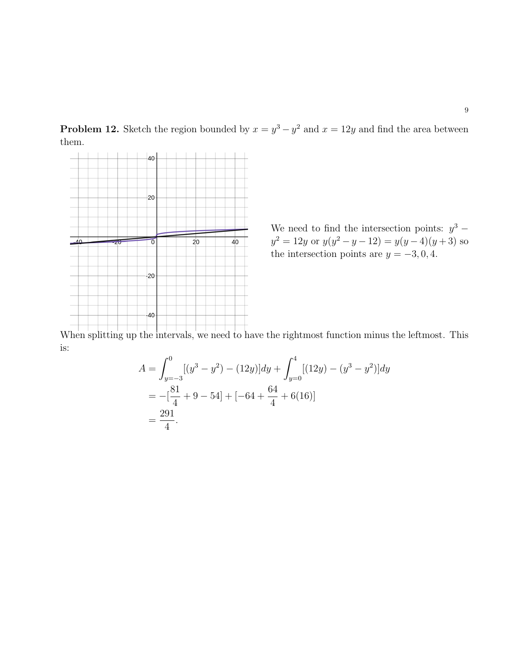**Problem 12.** Sketch the region bounded by  $x = y^3 - y^2$  and  $x = 12y$  and find the area between them.



We need to find the intersection points:  $y^3$  –  $y^2 = 12y$  or  $y(y^2 - y - 12) = y(y - 4)(y + 3)$  so the intersection points are  $y = -3, 0, 4$ .

When splitting up the intervals, we need to have the rightmost function minus the leftmost. This is:

$$
A = \int_{y=-3}^{0} [(y^3 - y^2) - (12y)]dy + \int_{y=0}^{4} [(12y) - (y^3 - y^2)]dy
$$
  
=  $-\left[\frac{81}{4} + 9 - 54\right] + \left[-64 + \frac{64}{4} + 6(16)\right]$   
=  $\frac{291}{4}$ .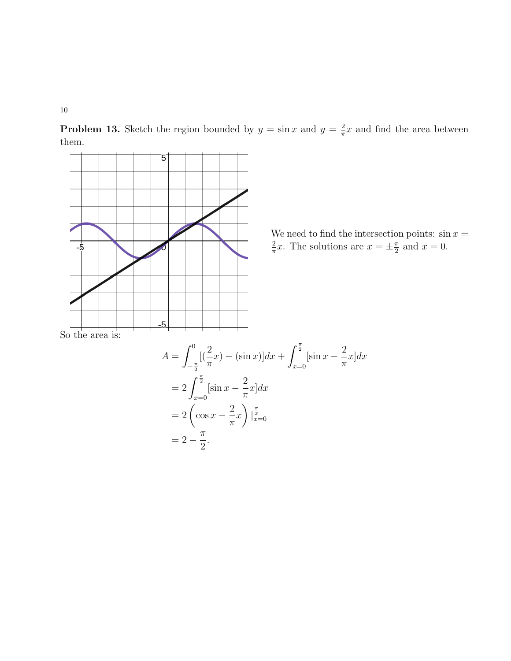10

**Problem 13.** Sketch the region bounded by  $y = \sin x$  and  $y = \frac{2}{\pi}$  $\frac{2}{\pi}x$  and find the area between them.



We need to find the intersection points:  $\sin x =$ 2  $\frac{2}{\pi}x$ . The solutions are  $x = \pm \frac{\pi}{2}$  $\frac{\pi}{2}$  and  $x=0$ .

So the area is:

$$
A = \int_{-\frac{\pi}{2}}^{0} \left[ (\frac{2}{\pi}x) - (\sin x) \right] dx + \int_{x=0}^{\frac{\pi}{2}} [\sin x - \frac{2}{\pi}x] dx
$$
  
=  $2 \int_{x=0}^{\frac{\pi}{2}} [\sin x - \frac{2}{\pi}x] dx$   
=  $2 \left( \cos x - \frac{2}{\pi}x \right) \Big|_{x=0}^{\frac{\pi}{2}}$   
=  $2 - \frac{\pi}{2}$ .